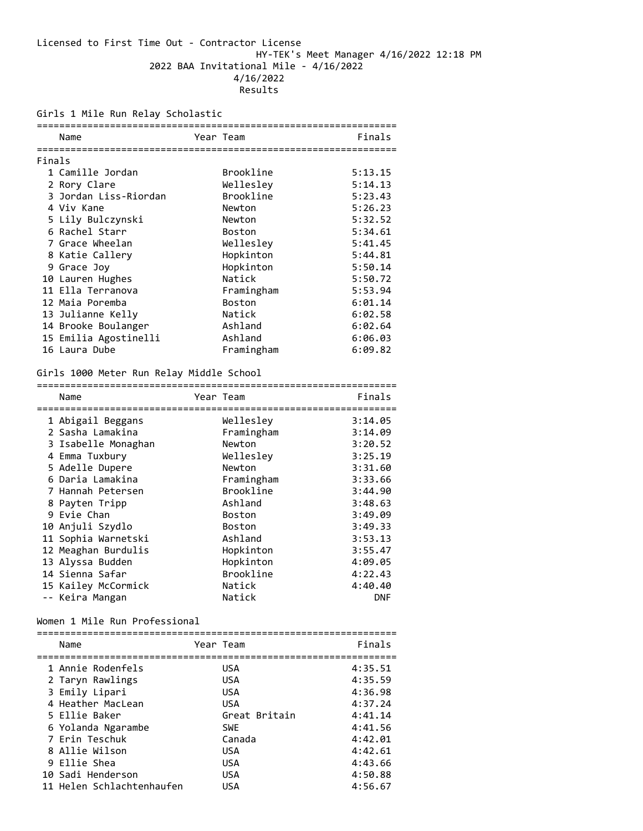# Licensed to First Time Out - Contractor License HY-TEK's Meet Manager 4/16/2022 12:18 PM 2022 BAA Invitational Mile - 4/16/2022 4/16/2022 Results

# Girls 1 Mile Run Relay Scholastic

|        | Name                  | Year Team |               | Finals  |  |
|--------|-----------------------|-----------|---------------|---------|--|
|        |                       |           |               |         |  |
| Finals |                       |           |               |         |  |
|        | 1 Camille Jordan      |           | Brookline     | 5:13.15 |  |
|        | 2 Rory Clare          |           | Wellesley     | 5:14.13 |  |
|        | 3 Jordan Liss-Riordan |           | Brookline     | 5:23.43 |  |
|        | 4 Viv Kane            |           | Newton        | 5:26.23 |  |
|        | 5 Lily Bulczynski     |           | Newton        | 5:32.52 |  |
|        | 6 Rachel Starr        |           | <b>Boston</b> | 5:34.61 |  |
|        | 7 Grace Wheelan       |           | Wellesley     | 5:41.45 |  |
|        | 8 Katie Callery       |           | Hopkinton     | 5:44.81 |  |
|        | 9 Grace Joy           |           | Hopkinton     | 5:50.14 |  |
|        | 10 Lauren Hughes      |           | Natick        | 5:50.72 |  |
|        | 11 Ella Terranova     |           | Framingham    | 5:53.94 |  |
|        | 12 Maia Poremba       |           | <b>Boston</b> | 6:01.14 |  |
|        | 13 Julianne Kelly     |           | Natick        | 6:02.58 |  |
|        | 14 Brooke Boulanger   |           | Ashland       | 6:02.64 |  |
|        | 15 Emilia Agostinelli |           | Ashland       | 6:06.03 |  |
|        | 16 Laura Dube         |           | Framingham    | 6:09.82 |  |

# Girls 1000 Meter Run Relay Middle School

| Name                | Year Team |               | Finals     |
|---------------------|-----------|---------------|------------|
|                     |           |               |            |
| 1 Abigail Beggans   |           | Wellesley     | 3:14.05    |
| 2 Sasha Lamakina    |           | Framingham    | 3:14.09    |
| 3 Isabelle Monaghan |           | Newton        | 3:20.52    |
| 4 Emma Tuxbury      |           | Wellesley     | 3:25.19    |
| 5 Adelle Dupere     |           | Newton        | 3:31.60    |
| 6 Daria Lamakina    |           | Framingham    | 3:33.66    |
| 7 Hannah Petersen   |           | Brookline     | 3:44.90    |
| 8 Payten Tripp      |           | Ashland       | 3:48.63    |
| 9 Evie Chan         |           | <b>Boston</b> | 3:49.09    |
| 10 Anjuli Szydlo    |           | <b>Boston</b> | 3:49.33    |
| 11 Sophia Warnetski |           | Ashland       | 3:53.13    |
| 12 Meaghan Burdulis |           | Hopkinton     | 3:55.47    |
| 13 Alyssa Budden    |           | Hopkinton     | 4:09.05    |
| 14 Sienna Safar     |           | Brookline     | 4:22.43    |
| 15 Kailey McCormick |           | Natick        | 4:40.40    |
| -- Keira Mangan     |           | Natick        | <b>DNF</b> |

#### Women 1 Mile Run Professional

| Name                      | Year Team     | Finals  |
|---------------------------|---------------|---------|
| 1 Annie Rodenfels         | <b>USA</b>    | 4:35.51 |
| 2 Taryn Rawlings          | <b>USA</b>    | 4:35.59 |
| 3 Emily Lipari            | <b>USA</b>    | 4:36.98 |
| 4 Heather MacLean         | <b>USA</b>    | 4:37.24 |
| 5 Ellie Baker             | Great Britain | 4:41.14 |
| 6 Yolanda Ngarambe        | <b>SWE</b>    | 4:41.56 |
| 7 Erin Teschuk            | Canada        | 4:42.01 |
| 8 Allie Wilson            | <b>USA</b>    | 4:42.61 |
| 9 Ellie Shea              | <b>USA</b>    | 4:43.66 |
| 10 Sadi Henderson         | <b>USA</b>    | 4:50.88 |
| 11 Helen Schlachtenhaufen | USA           | 4:56.67 |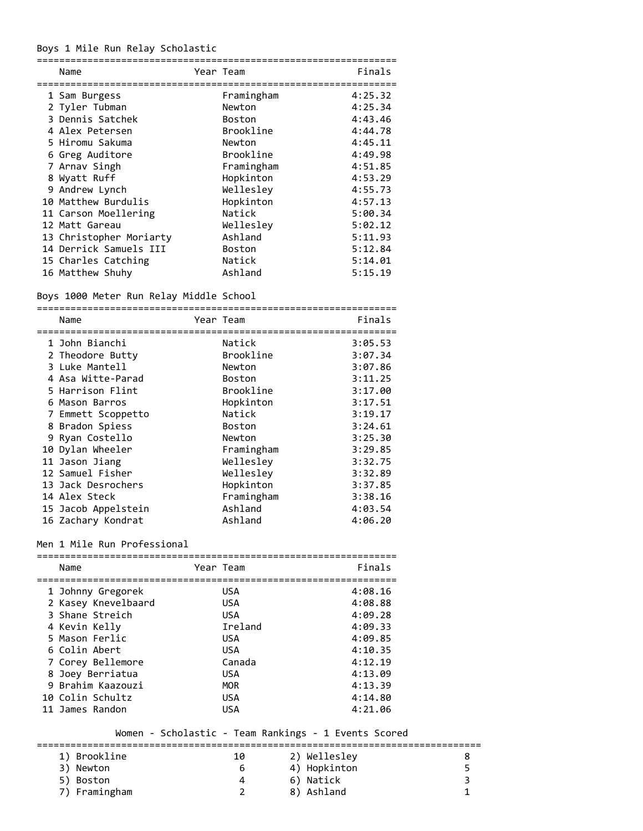# Boys 1 Mile Run Relay Scholastic

| Name                    | Year Team     | Finals  |
|-------------------------|---------------|---------|
| 1 Sam Burgess           | Framingham    | 4:25.32 |
| 2 Tyler Tubman          | Newton        | 4:25.34 |
| 3 Dennis Satchek        | <b>Boston</b> | 4:43.46 |
| 4 Alex Petersen         | Brookline     | 4:44.78 |
| 5 Hiromu Sakuma         | Newton        | 4:45.11 |
| 6 Greg Auditore         | Brookline     | 4:49.98 |
| 7 Arnav Singh           | Framingham    | 4:51.85 |
| 8 Wyatt Ruff            | Hopkinton     | 4:53.29 |
| 9 Andrew Lynch          | Wellesley     | 4:55.73 |
| 10 Matthew Burdulis     | Hopkinton     | 4:57.13 |
| 11 Carson Moellering    | Natick        | 5:00.34 |
| 12 Matt Gareau          | Wellesley     | 5:02.12 |
| 13 Christopher Moriarty | Ashland       | 5:11.93 |
| 14 Derrick Samuels III  | <b>Boston</b> | 5:12.84 |
| 15 Charles Catching     | Natick        | 5:14.01 |
| 16 Matthew Shuhy        | Ashland       | 5:15.19 |

# Boys 1000 Meter Run Relay Middle School

| Name                |               | Finals    |
|---------------------|---------------|-----------|
| 1 John Bianchi      | Natick        | 3:05.53   |
| 2 Theodore Butty    | Brookline     | 3:07.34   |
| 3 Luke Mantell      | Newton        | 3:07.86   |
| 4 Asa Witte-Parad   | <b>Boston</b> | 3:11.25   |
| 5 Harrison Flint    | Brookline     | 3:17.00   |
| 6 Mason Barros      | Hopkinton     | 3:17.51   |
| 7 Emmett Scoppetto  | Natick        | 3:19.17   |
| 8 Bradon Spiess     | <b>Boston</b> | 3:24.61   |
| 9 Ryan Costello     | Newton        | 3:25.30   |
| 10 Dylan Wheeler    | Framingham    | 3:29.85   |
| 11 Jason Jiang      | Wellesley     | 3:32.75   |
| 12 Samuel Fisher    | Wellesley     | 3:32.89   |
| 13 Jack Desrochers  | Hopkinton     | 3:37.85   |
| 14 Alex Steck       | Framingham    | 3:38.16   |
| 15 Jacob Appelstein | Ashland       | 4:03.54   |
| 16 Zachary Kondrat  | Ashland       | 4:06.20   |
|                     |               | Year Team |

# Men 1 Mile Run Professional

| Name                | Year Team  | Finals  |
|---------------------|------------|---------|
| 1 Johnny Gregorek   | <b>USA</b> | 4:08.16 |
| 2 Kasey Knevelbaard | <b>USA</b> | 4:08.88 |
| 3 Shane Streich     | USA        | 4:09.28 |
| 4 Kevin Kelly       | Ireland    | 4:09.33 |
| 5 Mason Ferlic      | <b>USA</b> | 4:09.85 |
| 6 Colin Abert       | USA        | 4:10.35 |
| 7 Corey Bellemore   | Canada     | 4:12.19 |
| 8 Joey Berriatua    | <b>USA</b> | 4:13.09 |
| 9 Brahim Kaazouzi   | <b>MOR</b> | 4:13.39 |
| 10 Colin Schultz    | <b>USA</b> | 4:14.80 |
| 11 James Randon     | USA        | 4:21.06 |

# Women - Scholastic - Team Rankings - 1 Events Scored

| 1) Brookline  | 10 | 2) Wellesley |  |
|---------------|----|--------------|--|
| 3) Newton     | b  | 4) Hopkinton |  |
| 5) Boston     | 4  | 6) Natick    |  |
| 7) Framingham |    | 8) Ashland   |  |